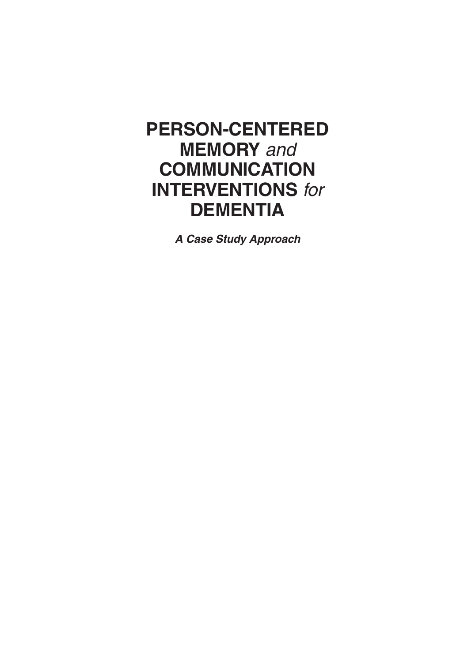# **PERSON-CENTERED MEMORY** *and* **COMMUNICATION INTERVENTIONS** *for*  **DEMENTIA**

*A Case Study Approach*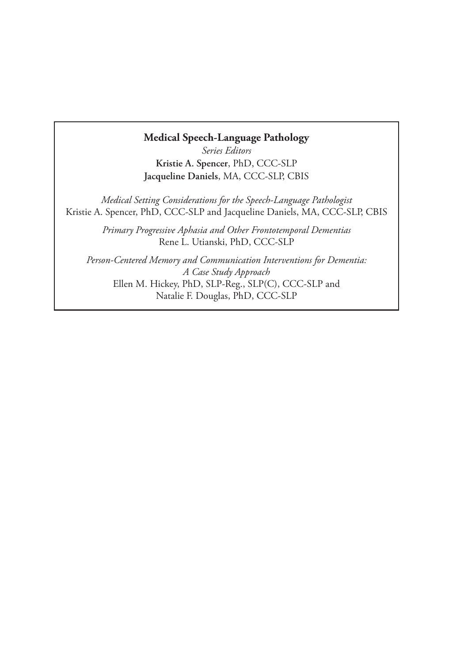#### **Medical Speech-Language Pathology**

*Series Editors* **Kristie A. Spencer**, PhD, CCC-SLP **Jacqueline Daniels**, MA, CCC-SLP, CBIS

*Medical Setting Considerations for the Speech-Language Pathologist* Kristie A. Spencer, PhD, CCC-SLP and Jacqueline Daniels, MA, CCC-SLP, CBIS

> *Primary Progressive Aphasia and Other Frontotemporal Dementias* Rene L. Utianski, PhD, CCC-SLP

*Person-Centered Memory and Communication Interventions for Dementia: A Case Study Approach* Ellen M. Hickey, PhD, SLP-Reg., SLP(C), CCC-SLP and Natalie F. Douglas, PhD, CCC-SLP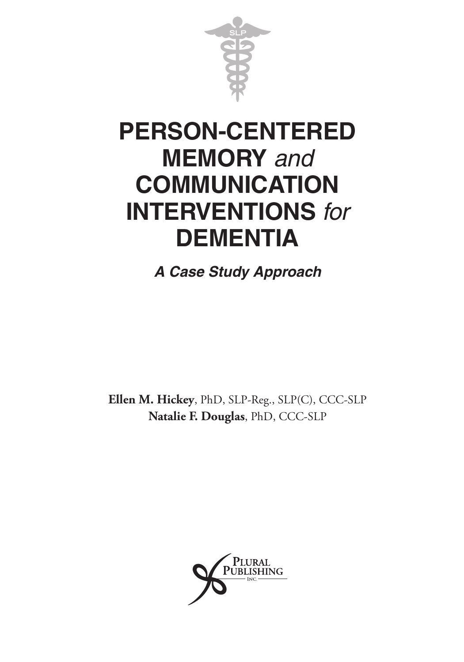

# **PERSON-CENTERED MEMORY** *and* **COMMUNICATION INTERVENTIONS** *for*  **DEMENTIA**

*A Case Study Approach*

**Ellen M. Hickey**, PhD, SLP-Reg., SLP(C), CCC-SLP **Natalie F. Douglas**, PhD, CCC-SLP

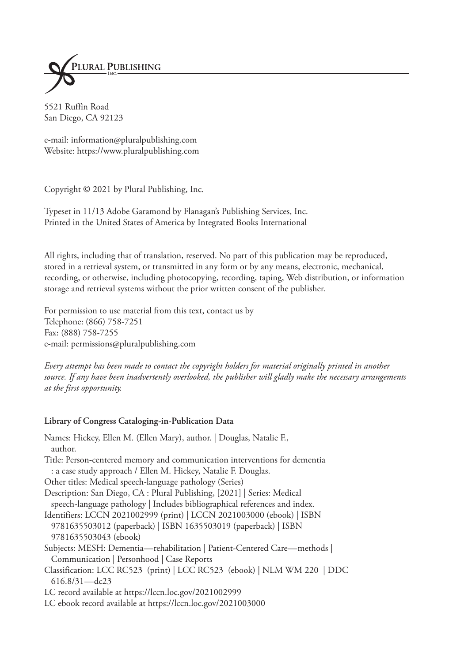

5521 Ruffin Road San Diego, CA 92123

e-mail: information@pluralpublishing.com Website: https://www.pluralpublishing.com

Copyright © 2021 by Plural Publishing, Inc.

Typeset in 11/13 Adobe Garamond by Flanagan's Publishing Services, Inc. Printed in the United States of America by Integrated Books International

All rights, including that of translation, reserved. No part of this publication may be reproduced, stored in a retrieval system, or transmitted in any form or by any means, electronic, mechanical, recording, or otherwise, including photocopying, recording, taping, Web distribution, or information storage and retrieval systems without the prior written consent of the publisher.

For permission to use material from this text, contact us by Telephone: (866) 758-7251 Fax: (888) 758-7255 e-mail: permissions@pluralpublishing.com

*Every attempt has been made to contact the copyright holders for material originally printed in another source. If any have been inadvertently overlooked, the publisher will gladly make the necessary arrangements at the first opportunity.*

#### **Library of Congress Cataloging-in-Publication Data**

Names: Hickey, Ellen M. (Ellen Mary), author. | Douglas, Natalie F., author. Title: Person-centered memory and communication interventions for dementia : a case study approach / Ellen M. Hickey, Natalie F. Douglas. Other titles: Medical speech-language pathology (Series) Description: San Diego, CA : Plural Publishing, [2021] | Series: Medical speech-language pathology | Includes bibliographical references and index. Identifiers: LCCN 2021002999 (print) | LCCN 2021003000 (ebook) | ISBN 9781635503012 (paperback) | ISBN 1635503019 (paperback) | ISBN 9781635503043 (ebook) Subjects: MESH: Dementia—rehabilitation | Patient-Centered Care—methods | Communication | Personhood | Case Reports Classification: LCC RC523 (print) | LCC RC523 (ebook) | NLM WM 220 | DDC 616.8/31—dc23 LC record available at https://lccn.loc.gov/2021002999 LC ebook record available at https://lccn.loc.gov/2021003000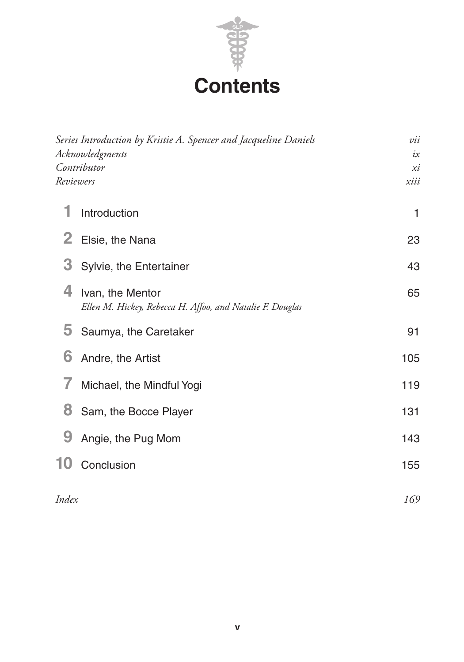

| Series Introduction by Kristie A. Spencer and Jacqueline Daniels<br>Acknowledgments<br>Contributor<br>Reviewers |                                                                               | vii<br>ix<br>xi<br>xiii |
|-----------------------------------------------------------------------------------------------------------------|-------------------------------------------------------------------------------|-------------------------|
| 1                                                                                                               | Introduction                                                                  | $\mathbf{1}$            |
| $\mathbf{2}$                                                                                                    | Elsie, the Nana                                                               | 23                      |
| 3                                                                                                               | Sylvie, the Entertainer                                                       | 43                      |
| 4                                                                                                               | Ivan, the Mentor<br>Ellen M. Hickey, Rebecca H. Affoo, and Natalie F. Douglas | 65                      |
| 5                                                                                                               | Saumya, the Caretaker                                                         | 91                      |
| 6                                                                                                               | Andre, the Artist                                                             | 105                     |
| 7                                                                                                               | Michael, the Mindful Yogi                                                     | 119                     |
| 8                                                                                                               | Sam, the Bocce Player                                                         | 131                     |
| 9                                                                                                               | Angie, the Pug Mom                                                            | 143                     |
| 10                                                                                                              | Conclusion                                                                    | 155                     |
| Index                                                                                                           |                                                                               | 169                     |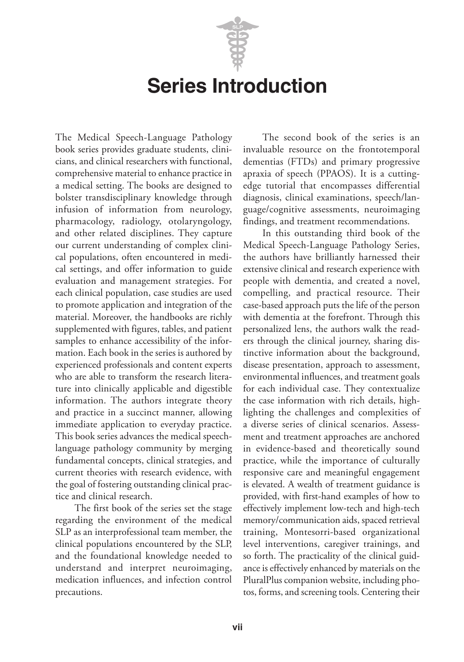# **Series Introduction**

The Medical Speech-Language Pathology book series provides graduate students, clinicians, and clinical researchers with functional, comprehensive material to enhance practice in a medical setting. The books are designed to bolster transdisciplinary knowledge through infusion of information from neurology, pharmacology, radiology, otolaryngology, and other related disciplines. They capture our current understanding of complex clinical populations, often encountered in medical settings, and offer information to guide evaluation and management strategies. For each clinical population, case studies are used to promote application and integration of the material. Moreover, the handbooks are richly supplemented with figures, tables, and patient samples to enhance accessibility of the information. Each book in the series is authored by experienced professionals and content experts who are able to transform the research literature into clinically applicable and digestible information. The authors integrate theory and practice in a succinct manner, allowing immediate application to everyday practice. This book series advances the medical speechlanguage pathology community by merging fundamental concepts, clinical strategies, and current theories with research evidence, with the goal of fostering outstanding clinical practice and clinical research.

The first book of the series set the stage regarding the environment of the medical SLP as an interprofessional team member, the clinical populations encountered by the SLP, and the foundational knowledge needed to understand and interpret neuroimaging, medication influences, and infection control precautions.

The second book of the series is an invaluable resource on the frontotemporal dementias (FTDs) and primary progressive apraxia of speech (PPAOS). It is a cuttingedge tutorial that encompasses differential diagnosis, clinical examinations, speech/language/cognitive assessments, neuroimaging findings, and treatment recommendations.

In this outstanding third book of the Medical Speech-Language Pathology Series, the authors have brilliantly harnessed their extensive clinical and research experience with people with dementia, and created a novel, compelling, and practical resource. Their case-based approach puts the life of the person with dementia at the forefront. Through this personalized lens, the authors walk the readers through the clinical journey, sharing distinctive information about the background, disease presentation, approach to assessment, environmental influences, and treatment goals for each individual case. They contextualize the case information with rich details, highlighting the challenges and complexities of a diverse series of clinical scenarios. Assessment and treatment approaches are anchored in evidence-based and theoretically sound practice, while the importance of culturally responsive care and meaningful engagement is elevated. A wealth of treatment guidance is provided, with first-hand examples of how to effectively implement low-tech and high-tech memory/communication aids, spaced retrieval training, Montesorri-based organizational level interventions, caregiver trainings, and so forth. The practicality of the clinical guidance is effectively enhanced by materials on the PluralPlus companion website, including photos, forms, and screening tools. Centering their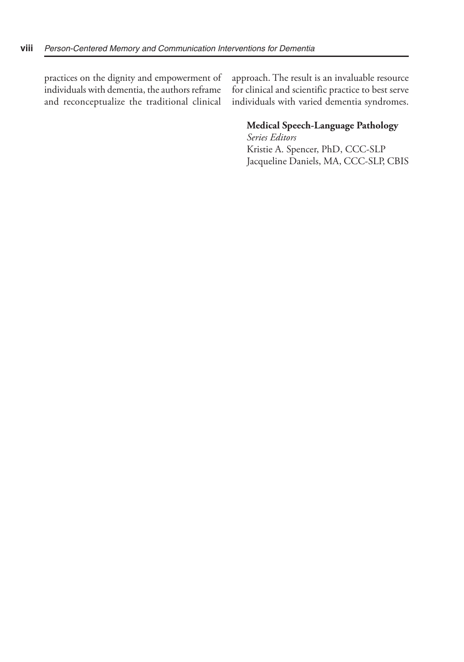practices on the dignity and empowerment of individuals with dementia, the authors reframe and reconceptualize the traditional clinical

approach. The result is an invaluable resource for clinical and scientific practice to best serve individuals with varied dementia syndromes.

#### **Medical Speech-Language Pathology**

*Series Editors* Kristie A. Spencer, PhD, CCC-SLP Jacqueline Daniels, MA, CCC-SLP, CBIS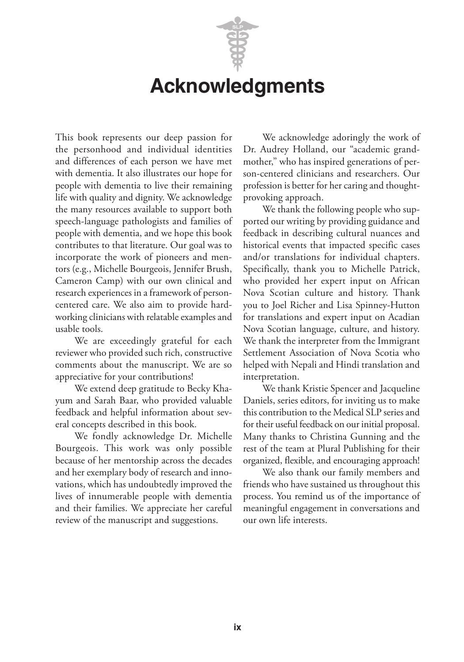# **Acknowledgments**

This book represents our deep passion for the personhood and individual identities and differences of each person we have met with dementia. It also illustrates our hope for people with dementia to live their remaining life with quality and dignity. We acknowledge the many resources available to support both speech-language pathologists and families of people with dementia, and we hope this book contributes to that literature. Our goal was to incorporate the work of pioneers and mentors (e.g., Michelle Bourgeois, Jennifer Brush, Cameron Camp) with our own clinical and research experiences in a framework of personcentered care. We also aim to provide hardworking clinicians with relatable examples and usable tools.

We are exceedingly grateful for each reviewer who provided such rich, constructive comments about the manuscript. We are so appreciative for your contributions!

We extend deep gratitude to Becky Khayum and Sarah Baar, who provided valuable feedback and helpful information about several concepts described in this book.

We fondly acknowledge Dr. Michelle Bourgeois. This work was only possible because of her mentorship across the decades and her exemplary body of research and innovations, which has undoubtedly improved the lives of innumerable people with dementia and their families. We appreciate her careful review of the manuscript and suggestions.

We acknowledge adoringly the work of Dr. Audrey Holland, our "academic grandmother," who has inspired generations of person-centered clinicians and researchers. Our profession is better for her caring and thoughtprovoking approach.

We thank the following people who supported our writing by providing guidance and feedback in describing cultural nuances and historical events that impacted specific cases and/or translations for individual chapters. Specifically, thank you to Michelle Patrick, who provided her expert input on African Nova Scotian culture and history. Thank you to Joel Richer and Lisa Spinney-Hutton for translations and expert input on Acadian Nova Scotian language, culture, and history. We thank the interpreter from the Immigrant Settlement Association of Nova Scotia who helped with Nepali and Hindi translation and interpretation.

We thank Kristie Spencer and Jacqueline Daniels, series editors, for inviting us to make this contribution to the Medical SLP series and for their useful feedback on our initial proposal. Many thanks to Christina Gunning and the rest of the team at Plural Publishing for their organized, flexible, and encouraging approach!

We also thank our family members and friends who have sustained us throughout this process. You remind us of the importance of meaningful engagement in conversations and our own life interests.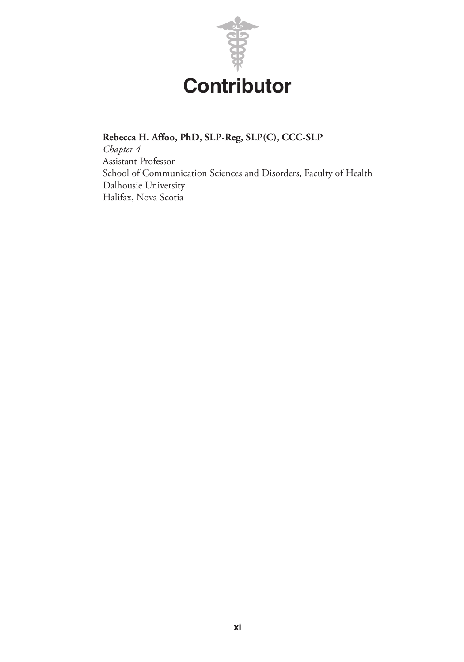

### **Rebecca H. Affoo, PhD, SLP-Reg, SLP(C), CCC-SLP**

*Chapter 4* Assistant Professor School of Communication Sciences and Disorders, Faculty of Health Dalhousie University Halifax, Nova Scotia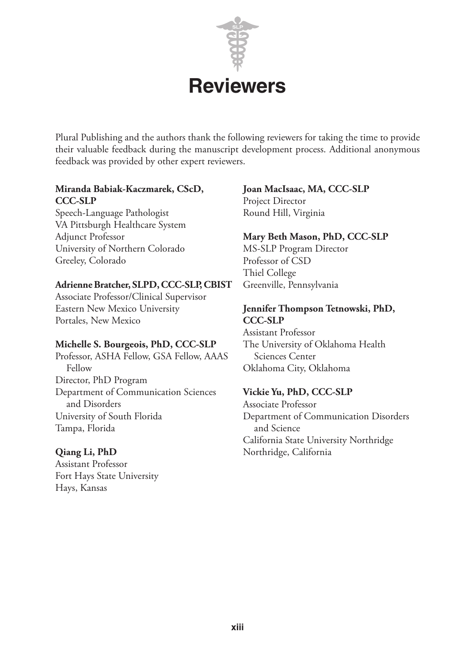

Plural Publishing and the authors thank the following reviewers for taking the time to provide their valuable feedback during the manuscript development process. Additional anonymous feedback was provided by other expert reviewers.

#### **Miranda Babiak-Kaczmarek, CScD, CCC-SLP**

Speech-Language Pathologist VA Pittsburgh Healthcare System Adjunct Professor University of Northern Colorado Greeley, Colorado

#### **Adrienne Bratcher, SLPD, CCC-SLP, CBIST**

Associate Professor/Clinical Supervisor Eastern New Mexico University Portales, New Mexico

#### **Michelle S. Bourgeois, PhD, CCC-SLP**

Professor, ASHA Fellow, GSA Fellow, AAAS Fellow Director, PhD Program Department of Communication Sciences and Disorders University of South Florida Tampa, Florida

#### **Qiang Li, PhD**

Assistant Professor Fort Hays State University Hays, Kansas

## **Joan MacIsaac, MA, CCC-SLP**

Project Director Round Hill, Virginia

#### **Mary Beth Mason, PhD, CCC-SLP**

MS-SLP Program Director Professor of CSD Thiel College Greenville, Pennsylvania

#### **Jennifer Thompson Tetnowski, PhD, CCC-SLP**

Assistant Professor The University of Oklahoma Health Sciences Center Oklahoma City, Oklahoma

#### **Vickie Yu, PhD, CCC-SLP**

Associate Professor Department of Communication Disorders and Science California State University Northridge Northridge, California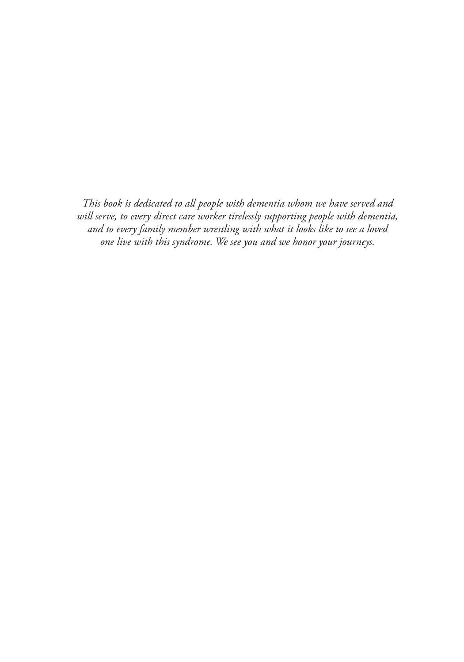*This book is dedicated to all people with dementia whom we have served and will serve, to every direct care worker tirelessly supporting people with dementia, and to every family member wrestling with what it looks like to see a loved one live with this syndrome. We see you and we honor your journeys.*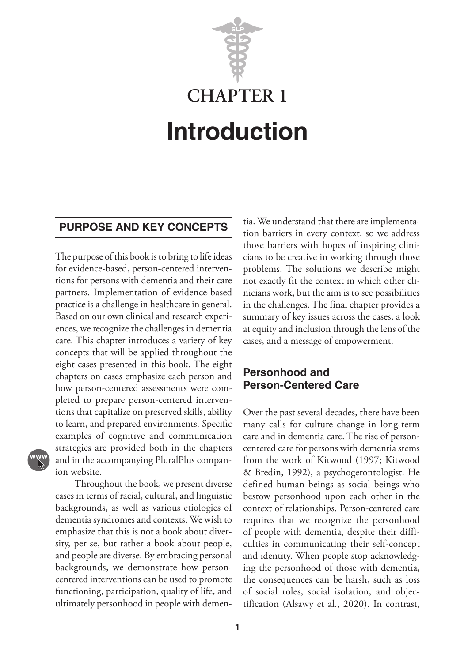

#### **PURPOSE AND KEY CONCEPTS**

The purpose of this book is to bring to life ideas for evidence-based, person-centered interventions for persons with dementia and their care partners. Implementation of evidence-based practice is a challenge in healthcare in general. Based on our own clinical and research experiences, we recognize the challenges in dementia care. This chapter introduces a variety of key concepts that will be applied throughout the eight cases presented in this book. The eight chapters on cases emphasize each person and how person-centered assessments were completed to prepare person-centered interventions that capitalize on preserved skills, ability to learn, and prepared environments. Specific examples of cognitive and communication strategies are provided both in the chapters and in the accompanying PluralPlus companion website.



Throughout the book, we present diverse cases in terms of racial, cultural, and linguistic backgrounds, as well as various etiologies of dementia syndromes and contexts. We wish to emphasize that this is not a book about diversity, per se, but rather a book about people, and people are diverse. By embracing personal backgrounds, we demonstrate how personcentered interventions can be used to promote functioning, participation, quality of life, and ultimately personhood in people with dementia. We understand that there are implementation barriers in every context, so we address those barriers with hopes of inspiring clinicians to be creative in working through those problems. The solutions we describe might not exactly fit the context in which other clinicians work, but the aim is to see possibilities in the challenges. The final chapter provides a summary of key issues across the cases, a look at equity and inclusion through the lens of the cases, and a message of empowerment.

### **Personhood and Person-Centered Care**

Over the past several decades, there have been many calls for culture change in long-term care and in dementia care. The rise of personcentered care for persons with dementia stems from the work of Kitwood (1997; Kitwood & Bredin, 1992), a psychogerontologist. He defined human beings as social beings who bestow personhood upon each other in the context of relationships. Person-centered care requires that we recognize the personhood of people with dementia, despite their difficulties in communicating their self-concept and identity. When people stop acknowledging the personhood of those with dementia, the consequences can be harsh, such as loss of social roles, social isolation, and objectification (Alsawy et al., 2020). In contrast,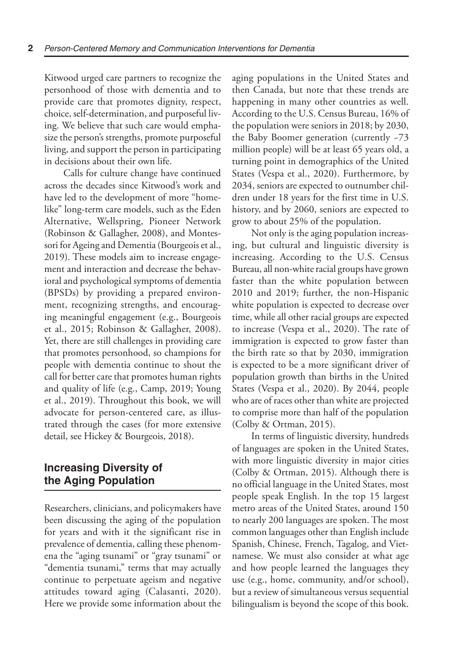Kitwood urged care partners to recognize the personhood of those with dementia and to provide care that promotes dignity, respect, choice, self-determination, and purposeful living. We believe that such care would emphasize the person's strengths, promote purposeful living, and support the person in participating in decisions about their own life.

Calls for culture change have continued across the decades since Kitwood's work and have led to the development of more "homelike" long-term care models, such as the Eden Alternative, Wellspring, Pioneer Network (Robinson & Gallagher, 2008), and Montessori for Ageing and Dementia (Bourgeois et al., 2019). These models aim to increase engagement and interaction and decrease the behavioral and psychological symptoms of dementia (BPSDs) by providing a prepared environment, recognizing strengths, and encouraging meaningful engagement (e.g., Bourgeois et al., 2015; Robinson & Gallagher, 2008). Yet, there are still challenges in providing care that promotes personhood, so champions for people with dementia continue to shout the call for better care that promotes human rights and quality of life (e.g., Camp, 2019; Young et al., 2019). Throughout this book, we will advocate for person-centered care, as illustrated through the cases (for more extensive detail, see Hickey & Bourgeois, 2018).

## **Increasing Diversity of the Aging Population**

Researchers, clinicians, and policymakers have been discussing the aging of the population for years and with it the significant rise in prevalence of dementia, calling these phenomena the "aging tsunami" or "gray tsunami" or "dementia tsunami," terms that may actually continue to perpetuate ageism and negative attitudes toward aging (Calasanti, 2020). Here we provide some information about the

aging populations in the United States and then Canada, but note that these trends are happening in many other countries as well. According to the U.S. Census Bureau, 16% of the population were seniors in 2018; by 2030, the Baby Boomer generation (currently ~73 million people) will be at least 65 years old, a turning point in demographics of the United States (Vespa et al., 2020). Furthermore, by 2034, seniors are expected to outnumber children under 18 years for the first time in U.S. history, and by 2060, seniors are expected to grow to about 25% of the population.

Not only is the aging population increasing, but cultural and linguistic diversity is increasing. According to the U.S. Census Bureau, all non-white racial groups have grown faster than the white population between 2010 and 2019; further, the non-Hispanic white population is expected to decrease over time, while all other racial groups are expected to increase (Vespa et al., 2020). The rate of immigration is expected to grow faster than the birth rate so that by 2030, immigration is expected to be a more significant driver of population growth than births in the United States (Vespa et al., 2020). By 2044, people who are of races other than white are projected to comprise more than half of the population (Colby & Ortman, 2015).

In terms of linguistic diversity, hundreds of languages are spoken in the United States, with more linguistic diversity in major cities (Colby & Ortman, 2015). Although there is no official language in the United States, most people speak English. In the top 15 largest metro areas of the United States, around 150 to nearly 200 languages are spoken. The most common languages other than English include Spanish, Chinese, French, Tagalog, and Vietnamese. We must also consider at what age and how people learned the languages they use (e.g., home, community, and/or school), but a review of simultaneous versus sequential bilingualism is beyond the scope of this book.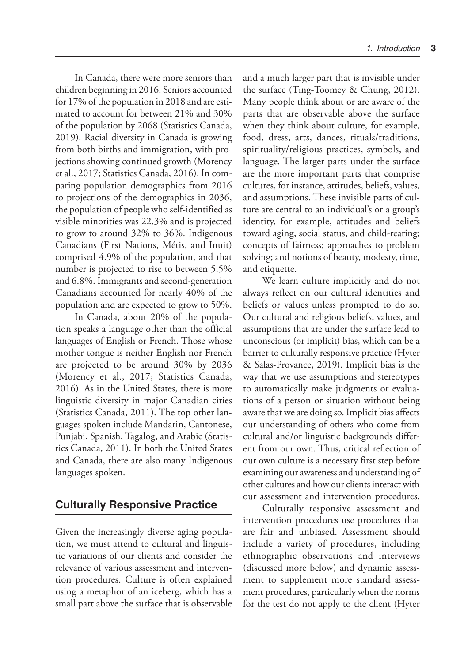In Canada, there were more seniors than children beginning in 2016. Seniors accounted for 17% of the population in 2018 and are estimated to account for between 21% and 30% of the population by 2068 (Statistics Canada, 2019). Racial diversity in Canada is growing from both births and immigration, with projections showing continued growth (Morency et al., 2017; Statistics Canada, 2016). In comparing population demographics from 2016 to projections of the demographics in 2036, the population of people who self-identified as visible minorities was 22.3% and is projected to grow to around 32% to 36%. Indigenous Canadians (First Nations, Métis, and Inuit) comprised 4.9% of the population, and that number is projected to rise to between 5.5% and 6.8%. Immigrants and second-generation Canadians accounted for nearly 40% of the population and are expected to grow to 50%.

In Canada, about 20% of the population speaks a language other than the official languages of English or French. Those whose mother tongue is neither English nor French are projected to be around 30% by 2036 (Morency et al., 2017; Statistics Canada, 2016). As in the United States, there is more linguistic diversity in major Canadian cities (Statistics Canada, 2011). The top other languages spoken include Mandarin, Cantonese, Punjabi, Spanish, Tagalog, and Arabic (Statistics Canada, 2011). In both the United States and Canada, there are also many Indigenous languages spoken.

#### **Culturally Responsive Practice**

Given the increasingly diverse aging population, we must attend to cultural and linguistic variations of our clients and consider the relevance of various assessment and intervention procedures. Culture is often explained using a metaphor of an iceberg, which has a small part above the surface that is observable and a much larger part that is invisible under the surface (Ting-Toomey & Chung, 2012). Many people think about or are aware of the parts that are observable above the surface when they think about culture, for example, food, dress, arts, dances, rituals/traditions, spirituality/religious practices, symbols, and language. The larger parts under the surface are the more important parts that comprise cultures, for instance, attitudes, beliefs, values, and assumptions. These invisible parts of culture are central to an individual's or a group's identity, for example, attitudes and beliefs toward aging, social status, and child-rearing; concepts of fairness; approaches to problem solving; and notions of beauty, modesty, time, and etiquette.

We learn culture implicitly and do not always reflect on our cultural identities and beliefs or values unless prompted to do so. Our cultural and religious beliefs, values, and assumptions that are under the surface lead to unconscious (or implicit) bias, which can be a barrier to culturally responsive practice (Hyter & Salas-Provance, 2019). Implicit bias is the way that we use assumptions and stereotypes to automatically make judgments or evaluations of a person or situation without being aware that we are doing so. Implicit bias affects our understanding of others who come from cultural and/or linguistic backgrounds different from our own. Thus, critical reflection of our own culture is a necessary first step before examining our awareness and understanding of other cultures and how our clients interact with our assessment and intervention procedures.

Culturally responsive assessment and intervention procedures use procedures that are fair and unbiased. Assessment should include a variety of procedures, including ethnographic observations and interviews (discussed more below) and dynamic assessment to supplement more standard assessment procedures, particularly when the norms for the test do not apply to the client (Hyter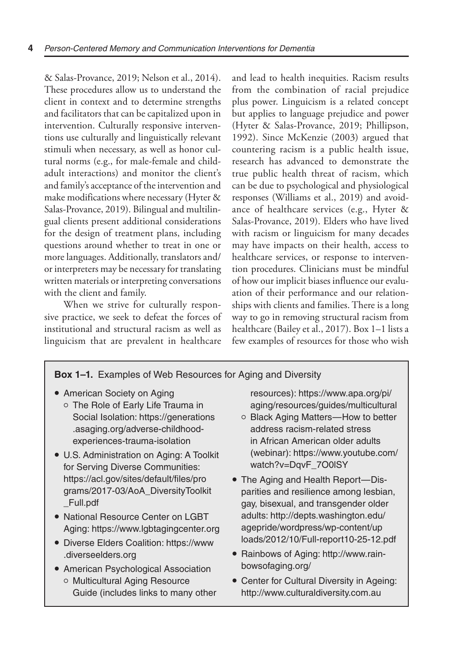& Salas-Provance, 2019; Nelson et al., 2014). These procedures allow us to understand the client in context and to determine strengths and facilitators that can be capitalized upon in intervention. Culturally responsive interventions use culturally and linguistically relevant stimuli when necessary, as well as honor cultural norms (e.g., for male-female and childadult interactions) and monitor the client's and family's acceptance of the intervention and make modifications where necessary (Hyter & Salas-Provance, 2019). Bilingual and multilingual clients present additional considerations for the design of treatment plans, including questions around whether to treat in one or more languages. Additionally, translators and/ or interpreters may be necessary for translating written materials or interpreting conversations with the client and family.

When we strive for culturally responsive practice, we seek to defeat the forces of institutional and structural racism as well as linguicism that are prevalent in healthcare

and lead to health inequities. Racism results from the combination of racial prejudice plus power. Linguicism is a related concept but applies to language prejudice and power (Hyter & Salas-Provance, 2019; Phillipson, 1992). Since McKenzie (2003) argued that countering racism is a public health issue, research has advanced to demonstrate the true public health threat of racism, which can be due to psychological and physiological responses (Williams et al., 2019) and avoidance of healthcare services (e.g., Hyter & Salas-Provance, 2019). Elders who have lived with racism or linguicism for many decades may have impacts on their health, access to healthcare services, or response to intervention procedures. Clinicians must be mindful of how our implicit biases influence our evaluation of their performance and our relationships with clients and families. There is a long way to go in removing structural racism from healthcare (Bailey et al., 2017). Box 1–1 lists a few examples of resources for those who wish

#### **Box 1–1.** Examples of Web Resources for Aging and Diversity

- **•** American Society on Aging
	- **•** The Role of Early Life Trauma in Social Isolation: https://generations .asaging.org/adverse-childhoodexperiences-trauma-isolation
- **•** U.S. Administration on Aging: A Toolkit for Serving Diverse Communities: https://acl.gov/sites/default/files/pro grams/2017-03/AoA\_DiversityToolkit \_Full.pdf
- **•** National Resource Center on LGBT Aging: https://www.lgbtagingcenter.org
- **•** Diverse Elders Coalition: https://www .diverseelders.org
- **•** American Psychological Association **•** Multicultural Aging Resource Guide (includes links to many other

resources): https://www.apa.org/pi/ aging/resources/guides/multicultural

- **•** Black Aging Matters—How to better address racism-related stress in African American older adults (webinar): https://www.youtube.com/ watch?v=DqvF\_7O0lSY
- **•** The Aging and Health Report—Disparities and resilience among lesbian, gay, bisexual, and transgender older adults: http://depts.washington.edu/ agepride/wordpress/wp-content/up loads/2012/10/Full-report10-25-12.pdf
- **•** Rainbows of Aging: http://www.rainbowsofaging.org/
- **•** Center for Cultural Diversity in Ageing: http://www.culturaldiversity.com.au